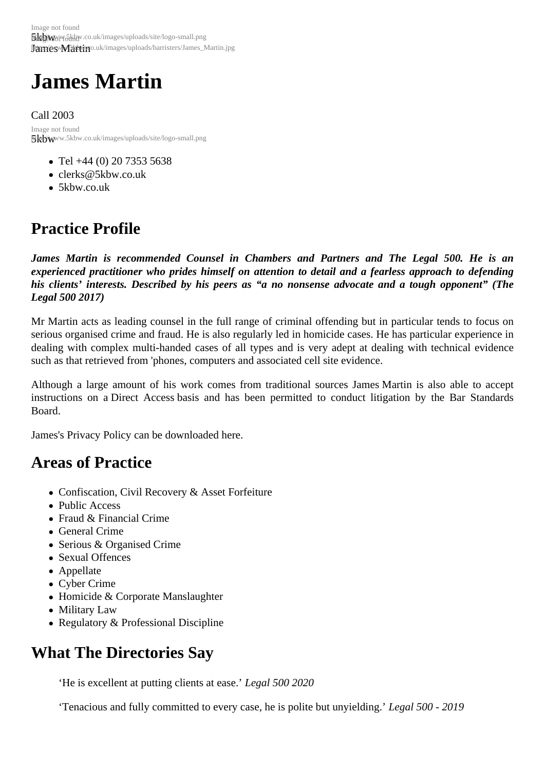# James Martin

Call 2003

5kbwww.5kbw.co.uk/images/uploads/site/logo-small.png Image not found

- Tel +44 (0) 20 7353 5638
- clerks@5kbw.co.uk
- 5kbw.co.uk

## Pra[ctice Pr](http://www.5kbw.co.uk)[ofile](mailto:clerks@5kbw.co.uk)

James Martin is recommended Counsel in Chambers and Partners and The Legal 500. He is an experienced practitioner who prides himself on attention to detail and a fearless approach to defending his clients' interests. Described by his peers as "a no nonsense advocate and a tough opponent" (The Legal 500 2017)

Mr Martin acts as leading counsel in the full range of criminal offending but in particular tends to focus on serious organised crime and fraud. He is also regularly led in homicide cases. He has particular experience i dealing with complex multi-handed cases of all types and is very adept at dealing with technical evidence such as that retrieved from 'phones, computers and associated cell site evidence.

Although a large amount of his work comes from traditional sources James Martin is also able to accept instructions on a Direct Access basis and has been permitted to conduct litigation by the Bar Standards Board.

James's Privacy Policy can be downloadeded

## Areas of Practice

- Confiscation, Civil Recovery & Asset Forfeiture
- Public Access
- Fraud & Financial Crime
- General Crime
- Serious & Organised Crime
- Sexual Offences
- Appellate
- Cyber Crime
- Homicide & Corporate Manslaughter
- Military Law
- Regulatory & Professional Discipline

## What The Directories Say

'He is excellent at putting clients at ease gal 500 2020

'Tenacious and fully committed to every case, he is polite but unyieldling. 500 - 2019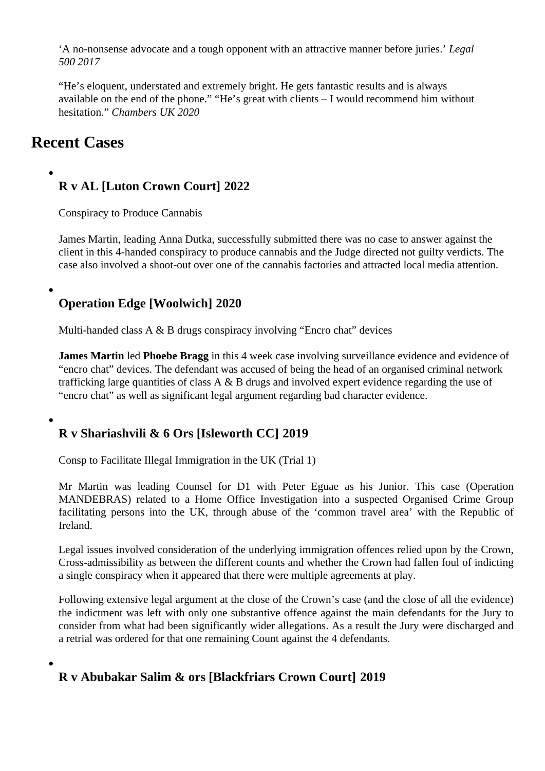'A no-nonsense advocate and a tough opponent with an attractive manner befor**e egæ**ls.' 500 2017

"He's eloquent, understated and extremely bright. He gets fantastic results and is always available on the end of the phone." "He's great with clients – I would recommend him without hesitation." Chambers UK 2020

## Recent Cases

R v AL [Luton Crown Court] 2022

Conspiracy to Produce Cannabis

James Martinleading Anna Dutka successfully submitted there was no case to answer against the client in this 4-handed conspiracy to produce cannabis and the Judge directed not guilty verdicts. The case also involved a shoot-out over one of the cannabis factories and attracted local media attention.

Operation Edge [Woolwich] 2020

Multi-handed class A & B drugs conspiracy involving "Encro chat" devices

James Martin led Phoebe Braggin this 4 week case involving surveillance evidence and evidence of "encro chat" devices. The defendant was accused of being the head of an organised criminal network trafficking large quantities of class A & B drugs and involved expert evidence regarding the use of ["encro chat" a](https://www.5kbw.co.uk/barristers/profile/james-martin)s [well as significa](https://www.5kbw.co.uk/barristers/profile/phoebe-bragg)nt legal argument regarding bad character evidence.

R v Shariashvili & 6 Ors [Isleworth CC] 2019

Consp to Facilitate Illegal Immigration in the UK (Trial 1)

Mr Martin was leading Counsel for D1 wit Peter Eguaeas his Junior. This case (Operation MANDEBRAS) related to a Home Office Investigation into a suspected Organised Crime Group facilitating persons into the UK, through abuse of the 'common travel area' with the Republic of [Ireland.](https://www.5kbw.co.uk/barristers/profile/james-martin)

Legal issues involved consideration of the underlying immigration offences relied upon by the Crown, Cross-admissibility as between the different counts and whether the Crown had fallen foul of indicting a single conspiracy when it appeared that there were multiple agreements at play.

Following extensive legal argument at the close of the Crown's case (and the close of all the evidence) the indictment was left with only one substantive offence against the main defendants for the Jury to consider from what had been significantly wider allegations. As a result the Jury were discharged and a retrial was ordered for that one remaining Count against the 4 defendants.

R v Abubakar Salim & ors [Blackfriars Crown Court] 2019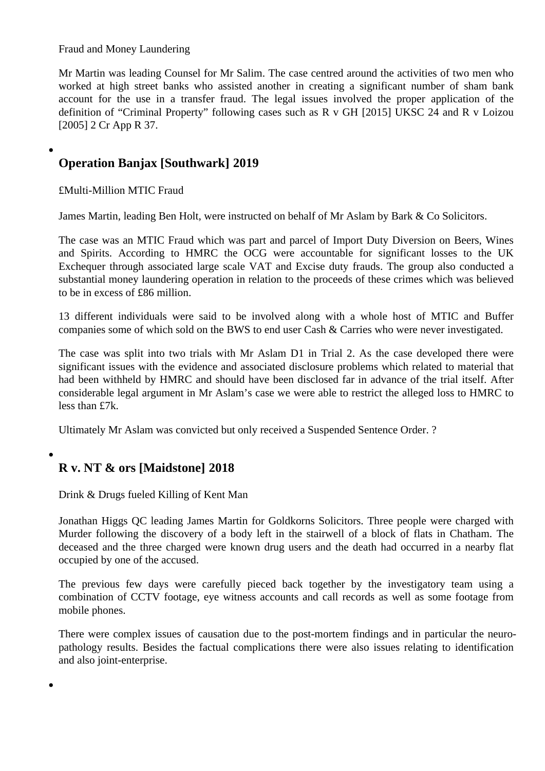Fraud and Money Laundering

Mr Martin was leading Counsel for Mr Salim. The case centred around the activities of two men who worked at high street banks who assisted another in creating a significant number of sham bank account for the use in a transfer fraud. The legal issues involved the proper application of the [definition](https://www.5kbw.co.uk/barristers/profile/james-martin) of "Criminal Property" following cases such as R v GH [2015] UKSC 24 and R v Loizou [2005] 2 Cr App R 37.

Operation Banjax [Southwark] 2019

£Multi-Million MTIC Fraud

James Martinleading Ben Holt, were instructed on behalf of Mr Aslam by Bark & Co Solicitors.

The case was an MTIC Fraud which was part and parcel of Import Duty Diversion on Beers, Wines and Spirits. According to HMRC the OCG were accountable for significant losses to the UK [Exchequer t](https://www.5kbw.co.uk/barristers/profile/james-martin)hrough [associate](https://www.5kbw.co.uk/barristers/profile/ben-holt)d large scale VAT and Excise duty frauds. The group also conducted a substantial money laundering operation in relation to the proceeds of these crimes which was believed to be in excess of £86 million.

13 different individuals were said to be involved along with a whole host of MTIC and Buffer companies some of which sold on the BWS to end user Cash & Carries who were never investigated.

The case was split into two trials with Mr Aslam D1 in Trial 2. As the case developed there were significant issues with the evidence and associated disclosure problems which related to material that had been withheld by HMRC and should have been disclosed far in advance of the trial itself. After considerable legal argument in Mr Aslam's case we were able to restrict the alleged loss to HMRC to less than £7k.

Ultimately Mr Aslam was convicted but only received a Suspended Sentence Order. ?

R v. NT & ors [Maidstone] 2018

Drink & Drugs fueled Killing of Kent Man

Jonathan Higgs Q@eading James Martirfor Goldkorns Solicitors. Three people were charged with Murder following the discovery of a body left in the stairwell of a block of flats in Chatham. The deceased and the three charged were known drug users and the death had occurred in a nearby fl [occupied by one o](/barristers/profile/jonathan-higgs-qc)f the ac[cused.](/barristers/profile/james-martin)

The previous few days were carefully pieced back together by the investigatory team using a combination of CCTV footage, eye witness accounts and call records as well as some footage from mobile phones.

There were complex issues of causation due to the post-mortem findings and in particular the neuropathology results. Besides the factual complications there were also issues relating to identification and also joint-enterprise.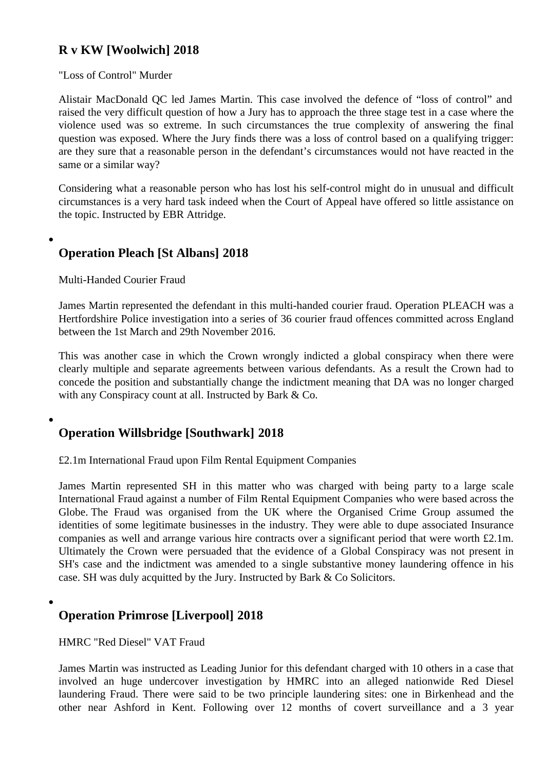#### R v KW [Woolwich] 2018

#### "Loss of Control" Murder

Alistair MacDonald QCled James Martin This case involved the defence of "loss of control" and raised the very difficult question of how a Jury has to approach the three stage test in a case where the violence used was so extreme. In such circumstances the true complexity of answering the final [question was exposed](/barristers/profile/alistair-macdonald-qc). W[here the Jury](/barristers/profile/james-martin) finds there was a loss of control based on a qualifying trigger: are they sure that a reasonable person in the defendant's circumstances would not have reacted in th same or a similar way?

Considering what a reasonable person who has lost his self-control might do in unusual and difficult circumstances is a very hard task indeed when the Court of Appeal have offered so little assistance on the topic. Instructed by EBR Attridge.

**Operation Pleach [St Albans] 2018** 

Multi-Handed Courier Fraud

James Martin represented the defendant in this multi-handed courier fraud. Operation PLEACH was a Hertfordshire Police investigation into a series of 36 courier fraud offences committed across England between the 1st March and 29th November 2016.

[This was an](/barristers/profile/james-martin)other case in which the Crown wrongly indicted a global conspiracy when there were clearly multiple and separate agreements between various defendants. As a result the Crown had to concede the position and substantially change the indictment meaning that DA was no longer charged with any Conspiracy count at all. Instructed by Bark & Co.

## Operation Willsbridge [Southwark] 2018

£2.1m International Fraud upon Film Rental Equipment Companies

James Martin represented SH in this matter who was charged with being party to a large scale International Fraud against a number of Film Rental Equipment Companies who were based across the Globe. The Fraud was organised from the UK where the Organised Crime Group assumed the [identities of s](/barristers/profile/james-martin)ome legitimate businesses in the industry. They were able to dupe associated Insurance companies as well and arrange various hire contracts over a significant period that were worth £2.1m. Ultimately the Crown were persuaded that the evidence of a Global Conspiracy was not present in SH's case and the indictment was amended to a single substantive money laundering offence in his case. SH was duly acquitted by the Jury. Instructed by Bark & Co Solicitors.

Operation Primrose [Liverpool] 2018

HMRC "Red Diesel" VAT Fraud

James Martin was instructed as Leading Junior for this defendant charged with 10 others in a case that involved an huge undercover investigation by HMRC into an alleged nationwide Red Diesel laundering Fraud. There were said to be two principle laundering sites: one in Birkenhead and the [other near](/barristers/profile/james-martin) Ashford in Kent. Following over 12 months of covert surveillance and a 3 year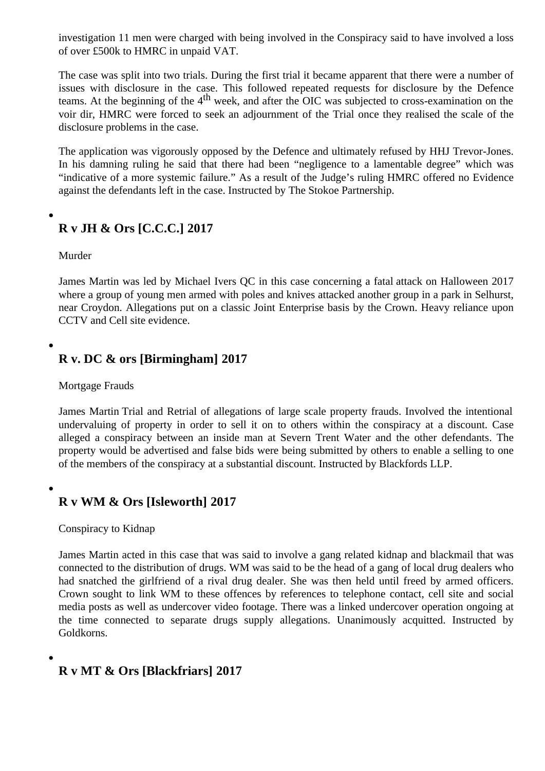of over £500k to HMRC in unpaid VAT.

The case was split into two trials. During the first trial it became apparent that there were a number of issues with disclosure in the case. This followed repeated requests for disclosure by the Defence teams. At the beginning of the 4 week, and after the OIC was subjected to cross-examination on the voir dir, HMRC were forced to seek an adjournment of the Trial once they realised the scale of the disclosure problems in the case.

The application was vigorously opposed by the Defence and ultimately refused by HHJ Trevor-Jones. In his damning ruling he said that there had been "negligence to a lamentable degree" which was "indicative of a more systemic failure." As a result of the Judge's ruling HMRC offered no Evidence against the defendants left in the case. Instructed by The Stokoe Partnership.

## R v JH & Ors [C.C.C.] 2017

Murder

James Martin was led by Michael Ivers QC in this case concerning a fatal attack on Halloween 2017 where a group of young men armed with poles and knives attacked another group in a park in Selhurst near Croydon. Allegations put on a classic Joint Enterprise basis by the Crown. Heavy reliance upon [CCTV and C](/barristers/profile/james-martin)ell site evidence.

## R v. DC & ors [Birmingham] 2017

Mortgage Frauds

James Martin Trial and Retrial of allegations of large scale property frauds. Involved the intentional undervaluing of property in order to sell it on to others within the conspiracy at a discount. Case alleged a conspiracy between an inside man at Severn Trent Water and the other defendants. The [property wou](/barristers/profile/james-martin)ld be advertised and false bids were being submitted by others to enable a selling to one of the members of the conspiracy at a substantial discount. Instructed by Blackfords LLP.

R v WM & Ors [Isleworth] 2017

Conspiracy to Kidnap

James Martinacted in this case that was said to involve a gang related kidnap and blackmail that was connected to the distribution of drugs. WM was said to be the head of a gang of local drug dealers who had snatched the girlfriend of a rival drug dealer. She was then held until freed by armed officers. [Crown sough](/barristers/profile/james-martin)t to link WM to these offences by references to telephone contact, cell site and social media posts as well as undercover video footage. There was a linked undercover operation ongoing a the time connected to separate drugs supply allegations. Unanimously acquitted. Instructed by Goldkorns.

R v MT & Ors [Blackfriars] 2017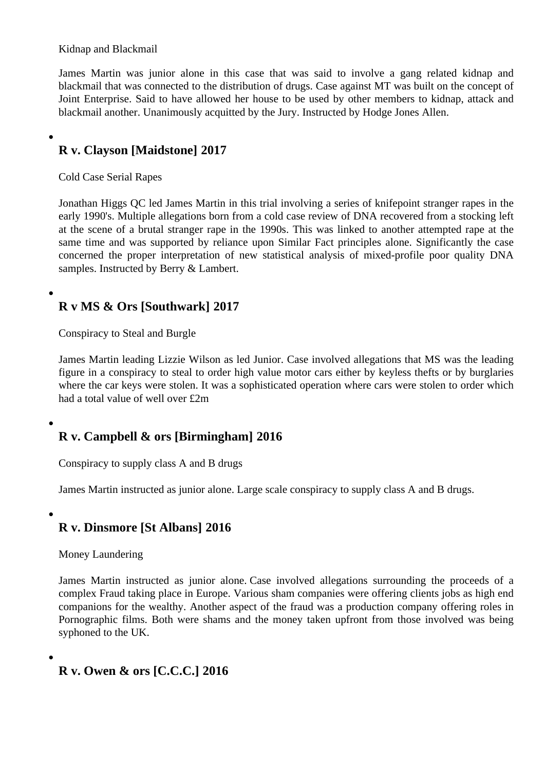#### Kidnap and Blackmail

James Martinwas junior alone in this case that was said to involve a gang related kidnap and blackmail that was connected to the distribution of drugs. Case against MT was built on the concept of Joint Enterprise. Said to have allowed her house to be used by other members to kidnap, attack and [blackmail ano](/barristers/profile/james-martin)ther. Unanimously acquitted by the Jury. Instructed by Hodge Jones Allen.

R v. Clayson [Maidstone] 2017

### Cold Case Serial Rapes

Jonathan Higgs QCed James Martinn this trial involving a series of knifepoint stranger rapes in the early 1990's. Multiple allegations born from a cold case review of DNA recovered from a stocking left at the scene of a brutal stranger rape in the 1990s. This was linked to another attempted rape at the [same time and w](/barristers/profile/jonathan-higgs-qc)as [supported by](/barristers/profile/james-martin) reliance upon Similar Fact principles alone. Significantly the case concerned the proper interpretation of new statistical analysis of mixed-profile poor quality DNA samples. Instructed by Berry & Lambert.

## R v MS & Ors [Southwark] 2017

Conspiracy to Steal and Burgle

James Martin leading Lizzie Wilson as led Junior. Case involved allegations that MS was the leading figure in a conspiracy to steal to order high value motor cars either by keyless thefts or by burglaries where the car keys were stolen. It was a sophisticated operation where cars were stolen to order which [had a total va](/barristers/profile/james-martin)lue of [well over £2m](/barristers/profile/elizabeth-wilson)

R v. Campbell & ors [Birmingham] 2016

Conspiracy to supply class A and B drugs

James Martin instructed as junior alone. Large scale conspiracy to supply class A and B drugs.

### [R v. Dinsm](/barristers/profile/james-martin)ore [St Albans] 2016

Money Laundering

James Martininstructed as junior alone. Case involved allegations surrounding the proceeds of a complex Fraud taking place in Europe. Various sham companies were offering clients jobs as high end companions for the wealthy. Another aspect of the fraud was a production company offering roles in [Pornographic](/barristers/profile/james-martin) films. Both were shams and the money taken upfront from those involved was being syphoned to the UK.

R v. Owen & ors [C.C.C.] 2016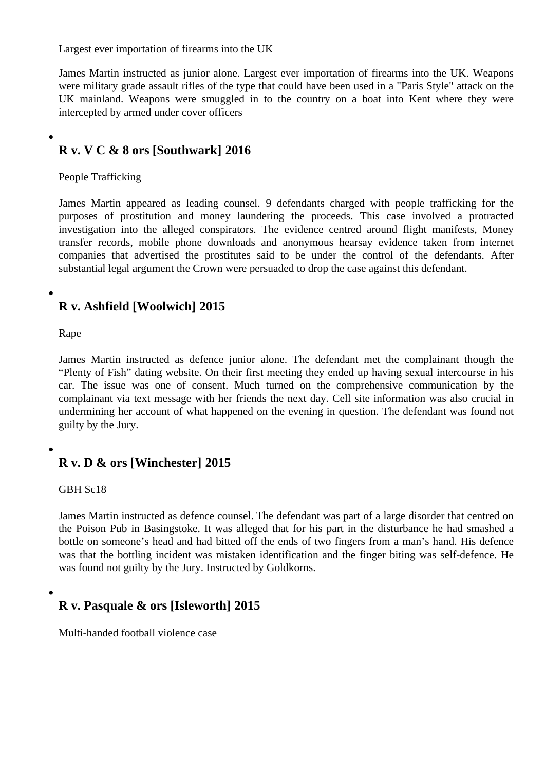Largest ever importation of firearms into the UK

James Martin instructed as junior alone. Largest ever importation of firearms into the UK. Weapons were military grade assault rifles of the type that could have been used in a "Paris Style" attack on the UK mainland. Weapons were smuggled in to the country on a boat into Kent where they were [intercepted b](/barristers/profile/james-martin)y armed under cover officers

R v. V C & 8 ors [Southwark] 2016

People Trafficking

James Martin appeared as leading counsel. 9 defendants charged with people trafficking for the purposes of prostitution and money laundering the proceeds. This case involved a protracted investigation into the alleged conspirators. The evidence centred around flight manifests, Money [transfer reco](/barristers/profile/james-martin)rds, mobile phone downloads and anonymous hearsay evidence taken from internet companies that advertised the prostitutes said to be under the control of the defendants. After substantial legal argument the Crown were persuaded to drop the case against this defendant.

## R v. Ashfield [Woolwich] 2015

Rape

James Martininstructed as defence junior alone. The defendant met the complainant though the "Plenty of Fish" dating website. On their first meeting they ended up having sexual intercourse in his car. The issue was one of consent. Much turned on the comprehensive communication by the [complainant](/barristers/profile/james-martin) via text message with her friends the next day. Cell site information was also crucial in undermining her account of what happened on the evening in question. The defendant was found not guilty by the Jury.

R v. D & ors [Winchester] 2015

GBH Sc18

James Martin instructed as defence counsel. The defendant was part of a large disorder that centred on the Poison Pub in Basingstoke. It was alleged that for his part in the disturbance he had smashed a bottle on someone's head and had bitted off the ends of two fingers from a man's hand. His defence [was that the](/barristers/profile/james-martin) bottling incident was mistaken identification and the finger biting was self-defence. He was found not guilty by the Jury. Instructed by Goldkorns.

R v. Pasquale & ors [Isleworth] 2015

Multi-handed football violence case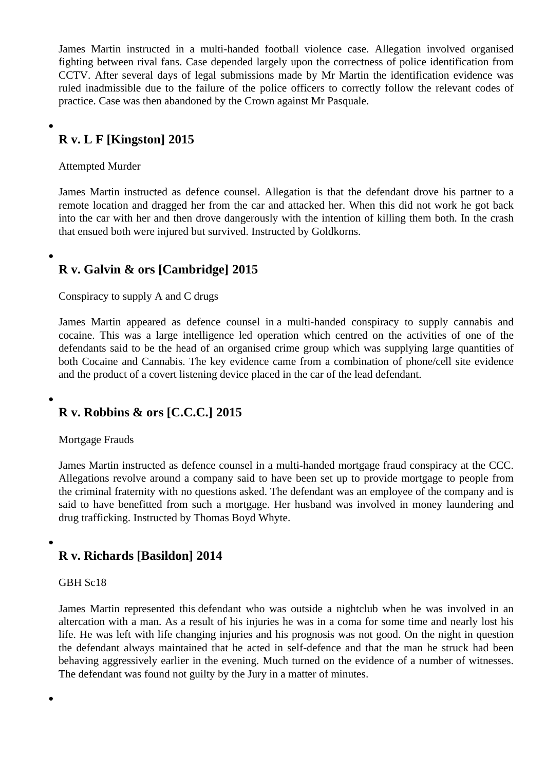James Martininstructed in a multi-handed football violence case. Allegation involved organised fighting between rival fans. Case depended largely upon the correctness of police identification from CCTV. After several days of legal submissions made by Mr Martin the identification evidence was [ruled inadmis](/barristers/profile/james-martin)sible due to the failure of the police officers to correctly follow the relevant codes of practice. Case was then abandoned by the Crown against Mr Pasquale.

R v. L F [Kingston] 2015

Attempted Murder

James Martin instructed as defence counsel. Allegation is that the defendant drove his partner to a remote location and dragged her from the car and attacked her. When this did not work he got back into the car with her and then drove dangerously with the intention of killing them both. In the crash [that ensued b](/barristers/profile/james-martin)oth were injured but survived. Instructed by Goldkorns.

R v. Galvin & ors [Cambridge] 2015

Conspiracy to supply A and C drugs

James Martinappeared as defence counsel in a multi-handed conspiracy to supply cannabis and cocaine. This was a large intelligence led operation which centred on the activities of one of the defendants said to be the head of an organised crime group which was supplying large quantities of [both Cocaine](/barristers/profile/james-martin) and Cannabis. The key evidence came from a combination of phone/cell site evidence and the product of a covert listening device placed in the car of the lead defendant.

R v. Robbins & ors [C.C.C.] 2015

Mortgage Frauds

James Martin instructed as defence counsel in a multi-handed mortgage fraud conspiracy at the CCC. Allegations revolve around a company said to have been set up to provide mortgage to people from the criminal fraternity with no questions asked. The defendant was an employee of the company and is [said to have](/barristers/profile/james-martin) benefitted from such a mortgage. Her husband was involved in money laundering and drug trafficking. Instructed by Thomas Boyd Whyte.

R v. Richards [Basildon] 2014

GBH Sc18

James Martin represented this defendant who was outside a nightclub when he was involved in an altercation with a man. As a result of his injuries he was in a coma for some time and nearly lost his life. He was left with life changing injuries and his prognosis was not good. On the night in question [the defendan](/barristers/profile/james-martin)t always maintained that he acted in self-defence and that the man he struck had bee behaving aggressively earlier in the evening. Much turned on the evidence of a number of witnesses. The defendant was found not guilty by the Jury in a matter of minutes.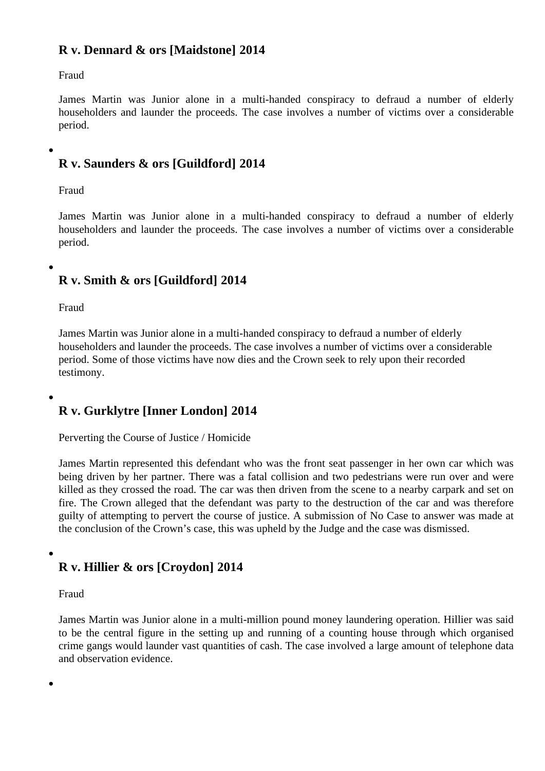#### R v. Dennard & ors [Maidstone] 2014

### Fraud

James Martinwas Junior alone in a multi-handed conspiracy to defraud a number of elderly householders and launder the proceeds. The case involves a number of victims over a considerable period.

## R v. Saunders & ors [Guildford] 2014

Fraud

James Martinwas Junior alone in a multi-handed conspiracy to defraud a number of elderly householders and launder the proceeds. The case involves a number of victims over a considerable period.

## R v. Smith & ors [Guildford] 2014

Fraud

James Martin was Junior alone in a multi-handed conspiracy to defraud a number of elderly householders and launder the proceeds. The case involves a number of victims over a considerable period. Some of those victims have now dies and the Crown seek to rely upon their recorded [testimony.](/barristers/profile/james-martin)

R v. Gurklytre [Inner London] 2014

Perverting the Course of Justice / Homicide

James Martin represented this defendant who was the front seat passenger in her own car which was being driven by her partner. There was a fatal collision and two pedestrians were run over and were killed as they crossed the road. The car was then driven from the scene to a nearby carpark and set on [fire. The Cro](/barristers/profile/james-martin)wn alleged that the defendant was party to the destruction of the car and was therefore guilty of attempting to pervert the course of justice. A submission of No Case to answer was made at the conclusion of the Crown's case, this was upheld by the Judge and the case was dismissed.

R v. Hillier & ors [Croydon] 2014

Fraud

James Martin was Junior alone in a multi-million pound money laundering operation. Hillier was said to be the central figure in the setting up and running of a counting house through which organised crime gangs would launder vast quantities of cash. The case involved a large amount of telephone data [and observa](/barristers/profile/james-martin)tion evidence.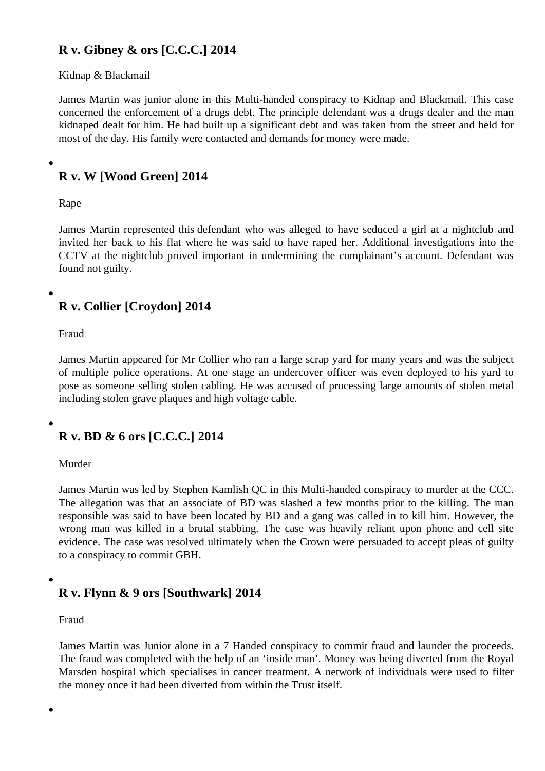#### R v. Gibney & ors [C.C.C.] 2014

#### Kidnap & Blackmail

James Martinwas junior alone in this Multi-handed conspiracy to Kidnap and Blackmail. This case concerned the enforcement of a drugs debt. The principle defendant was a drugs dealer and the ma kidnaped dealt for him. He had built up a significant debt and was taken from the street and held for [most of the d](/barristers/profile/james-martin)ay. His family were contacted and demands for money were made.

R v. W [Wood Green] 2014

#### Rape

James Martin represented this defendant who was alleged to have seduced a girl at a nightclub and invited her back to his flat where he was said to have raped her. Additional investigations into the CCTV at the nightclub proved important in undermining the complainant's account. Defendant was [found not gui](/barristers/profile/james-martin)lty.

## R v. Collier [Croydon] 2014

#### Fraud

James Martin appeared for Mr Collier who ran a large scrap yard for many years and was the subject of multiple police operations. At one stage an undercover officer was even deployed to his yard to pose as someone selling stolen cabling. He was accused of processing large amounts of stolen met [including sto](/barristers/profile/james-martin)len grave plaques and high voltage cable.

## R v. BD & 6 ors [C.C.C.] 2014

#### Murder

James Martin was led by Stephen Kamlish QC in this Multi-handed conspiracy to murder at the CCC. The allegation was that an associate of BD was slashed a few months prior to the killing. The man responsible was said to have been located by BD and a gang was called in to kill him. However, the [wrong man](/barristers/profile/james-martin) was killed in a brutal stabbing. The case was heavily reliant upon phone and cell site evidence. The case was resolved ultimately when the Crown were persuaded to accept pleas of guilty to a conspiracy to commit GBH.

## R v. Flynn & 9 ors [Southwark] 2014

#### Fraud

James Martin was Junior alone in a 7 Handed conspiracy to commit fraud and launder the proceeds. The fraud was completed with the help of an 'inside man'. Money was being diverted from the Royal Marsden hospital which specialises in cancer treatment. A network of individuals were used to filter [the money o](/barristers/profile/james-martin)nce it had been diverted from within the Trust itself.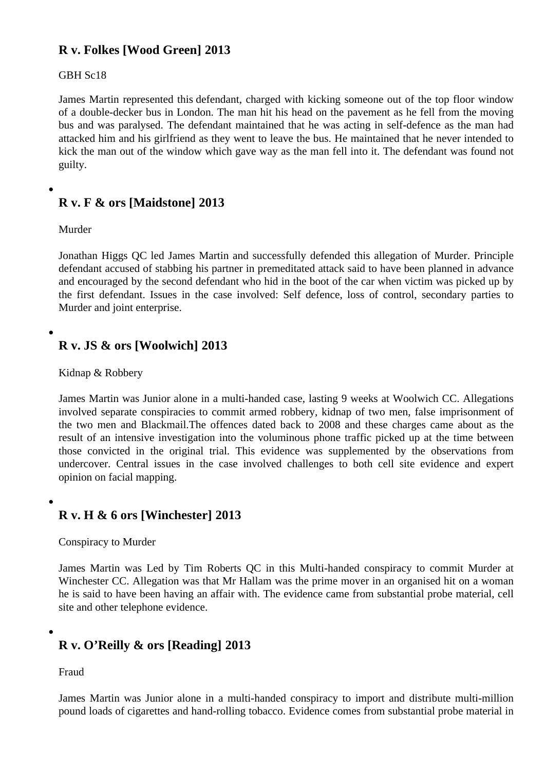#### R v. Folkes [Wood Green] 2013

#### GBH Sc18

James Martirrepresented this defendant, charged with kicking someone out of the top floor window of a double-decker bus in London. The man hit his head on the pavement as he fell from the moving bus and was paralysed. The defendant maintained that he was acting in self-defence as the man ha [attacked him](/barristers/profile/james-martin) and his girlfriend as they went to leave the bus. He maintained that he never intended to kick the man out of the window which gave way as the man fell into it. The defendant was found not guilty.

## R v. F & ors [Maidstone] 2013

Murder

Jonathan Higgs QCed James Martinand successfully defended this allegation of Murder. Principle defendant accused of stabbing his partner in premeditated attack said to have been planned in advand and encouraged by the second defendant who hid in the boot of the car when victim was picked up by [the first defendan](/barristers/profile/jonathan-higgs-qc)t. Is[sues in the](/barristers/profile/james-martin) case involved: Self defence, loss of control, secondary parties to Murder and joint enterprise.

R v. JS & ors [Woolwich] 2013

Kidnap & Robbery

James Martin was Junior alone in a multi-handed case, lasting 9 weeks at Woolwich CC. Allegations involved separate conspiracies to commit armed robbery, kidnap of two men, false imprisonment of the two men and Blackmail. The offences dated back to 2008 and these charges came about as the [result of an](/barristers/profile/james-martin) intensive investigation into the voluminous phone traffic picked up at the time between those convicted in the original trial. This evidence was supplemented by the observations from undercover. Central issues in the case involved challenges to both cell site evidence and expert opinion on facial mapping.

R v. H & 6 ors [Winchester] 2013

Conspiracy to Murder

James Martinwas Led by Tim Roberts QC in this Multi-handed conspiracy to commit Murder at Winchester CC. Allegation was that Mr Hallam was the prime mover in an organised hit on a woman he is said to have been having an affair with. The evidence came from substantial probe material, cell [site and othe](/barristers/profile/james-martin)r telephone evidence.

R v. O'Reilly & ors [Reading] 2013

Fraud

James Martinwas Junior alone in a multi-handed conspiracy to import and distribute multi-million pound loads of cigarettes and hand-rolling tobacco. Evidence comes from substantial probe material in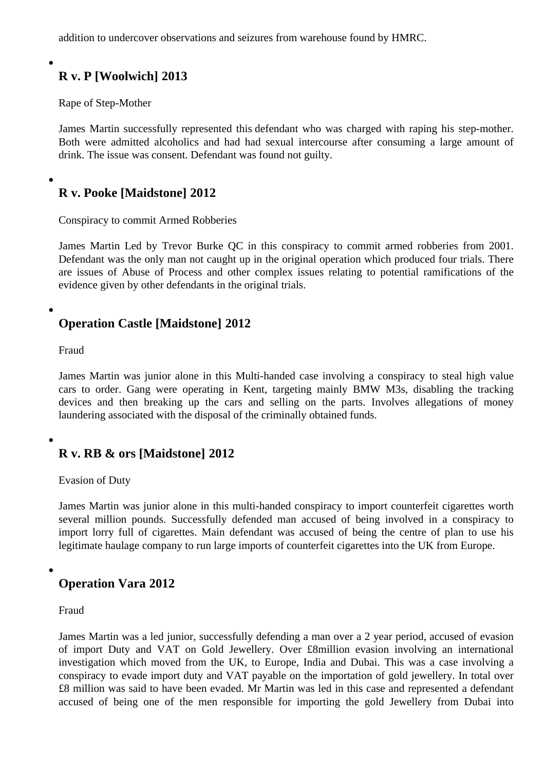## R v. P [Woolwich] 2013

Rape of Step-Mother

James Martin successfully represented this defendant who was charged with raping his step-mother. Both were admitted alcoholics and had had sexual intercourse after consuming a large amount of drink. The issue was consent. Defendant was found not guilty.

R v. Pooke [Maidstone] 2012

Conspiracy to commit Armed Robberies

James Martin Led by Trevor Burke QC in this conspiracy to commit armed robberies from 2001. Defendant was the only man not caught up in the original operation which produced four trials. There are issues of Abuse of Process and other complex issues relating to potential ramifications of the evidence given by other defendants in the original trials.

Operation Castle [Maidstone] 2012

Fraud

James Martin was junior alone in this Multi-handed case involving a conspiracy to steal high value cars to order. Gang were operating in Kent, targeting mainly BMW M3s, disabling the tracking devices and then breaking up the cars and selling on the parts. Involves allegations of money laundering associated with the disposal of the criminally obtained funds.

R v. RB & ors [Maidstone] 2012

Evasion of Duty

James Martin was junior alone in this multi-handed conspiracy to import counterfeit cigarettes worth several million pounds. Successfully defended man accused of being involved in a conspiracy to import lorry full of cigarettes. Main defendant was accused of being the centre of plan to use his [legitimate ha](/barristers/profile/james-martin)ulage company to run large imports of counterfeit cigarettes into the UK from Europe.

Operation Vara 2012

Fraud

James Martin was a led junior, successfully defending a man over a 2 year period, accused of evasion of import Duty and VAT on Gold Jewellery. Over £8million evasion involving an international investigation which moved from the UK, to Europe, India and Dubai. This was a case involving a conspiracy to evade import duty and VAT payable on the importation of gold jewellery. In total over £8 million was said to have been evaded. Mr Martin was led in this case and represented a defendan accused of being one of the men responsible for importing the gold Jewellery from Dubai into